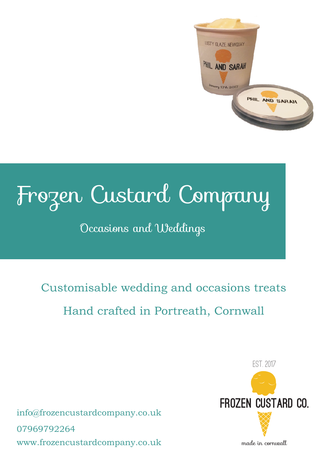

# Frozen Custard Company

# Occasions and Weddings

Customisable wedding and occasions treats Hand crafted in Portreath, Cornwall

info@frozencustardcompany.co.uk 07969792264 www.frozencustardcompany.co.uk